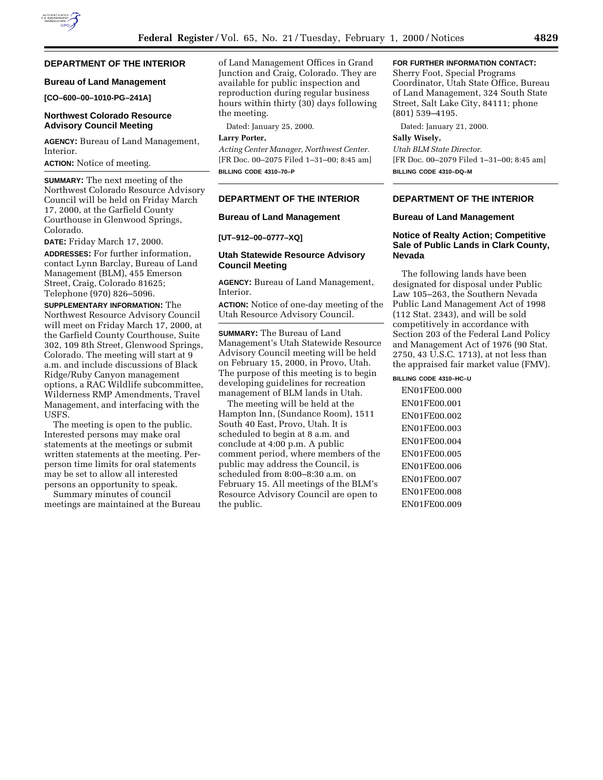# **DEPARTMENT OF THE INTERIOR**

## **Bureau of Land Management**

**[CO–600–00–1010-PG–241A]**

## **Northwest Colorado Resource Advisory Council Meeting**

**AGENCY:** Bureau of Land Management, Interior.

**ACTION:** Notice of meeting.

**SUMMARY:** The next meeting of the Northwest Colorado Resource Advisory Council will be held on Friday March 17, 2000, at the Garfield County Courthouse in Glenwood Springs, Colorado.

**DATE:** Friday March 17, 2000.

**ADDRESSES:** For further information, contact Lynn Barclay, Bureau of Land Management (BLM), 455 Emerson Street, Craig, Colorado 81625; Telephone (970) 826–5096.

**SUPPLEMENTARY INFORMATION:** The Northwest Resource Advisory Council will meet on Friday March 17, 2000, at the Garfield County Courthouse, Suite 302, 109 8th Street, Glenwood Springs, Colorado. The meeting will start at 9 a.m. and include discussions of Black Ridge/Ruby Canyon management options, a RAC Wildlife subcommittee, Wilderness RMP Amendments, Travel Management, and interfacing with the USFS.

The meeting is open to the public. Interested persons may make oral statements at the meetings or submit written statements at the meeting. Perperson time limits for oral statements may be set to allow all interested persons an opportunity to speak.

Summary minutes of council meetings are maintained at the Bureau of Land Management Offices in Grand Junction and Craig, Colorado. They are available for public inspection and reproduction during regular business hours within thirty (30) days following the meeting.

Dated: January 25, 2000.

#### **Larry Porter,**

*Acting Center Manager, Northwest Center.* [FR Doc. 00–2075 Filed 1–31–00; 8:45 am] **BILLING CODE 4310–70–P**

#### **DEPARTMENT OF THE INTERIOR**

#### **Bureau of Land Management**

**[UT–912–00–0777–XQ]**

## **Utah Statewide Resource Advisory Council Meeting**

**AGENCY:** Bureau of Land Management, Interior.

**ACTION:** Notice of one-day meeting of the Utah Resource Advisory Council.

**SUMMARY:** The Bureau of Land Management's Utah Statewide Resource Advisory Council meeting will be held on February 15, 2000, in Provo, Utah. The purpose of this meeting is to begin developing guidelines for recreation management of BLM lands in Utah.

The meeting will be held at the Hampton Inn, (Sundance Room), 1511 South 40 East, Provo, Utah. It is scheduled to begin at 8 a.m. and conclude at 4:00 p.m. A public comment period, where members of the public may address the Council, is scheduled from 8:00–8:30 a.m. on February 15. All meetings of the BLM's Resource Advisory Council are open to the public.

## **FOR FURTHER INFORMATION CONTACT:**

Sherry Foot, Special Programs Coordinator, Utah State Office, Bureau of Land Management, 324 South State Street, Salt Lake City, 84111; phone (801) 539–4195.

Dated: January 21, 2000.

## **Sally Wisely,**

*Utah BLM State Director.* [FR Doc. 00–2079 Filed 1–31–00; 8:45 am] **BILLING CODE 4310–DQ–M**

# **DEPARTMENT OF THE INTERIOR**

#### **Bureau of Land Management**

## **Notice of Realty Action; Competitive Sale of Public Lands in Clark County, Nevada**

The following lands have been designated for disposal under Public Law 105–263, the Southern Nevada Public Land Management Act of 1998 (112 Stat. 2343), and will be sold competitively in accordance with Section 203 of the Federal Land Policy and Management Act of 1976 (90 Stat. 2750, 43 U.S.C. 1713), at not less than the appraised fair market value (FMV).

**BILLING CODE 4310–HC–U**

EN01FE00.000 EN01FE00.001 EN01FE00.002 EN01FE00.003 EN01FE00.004 EN01FE00.005 EN01FE00.006 EN01FE00.007 EN01FE00.008 EN01FE00.009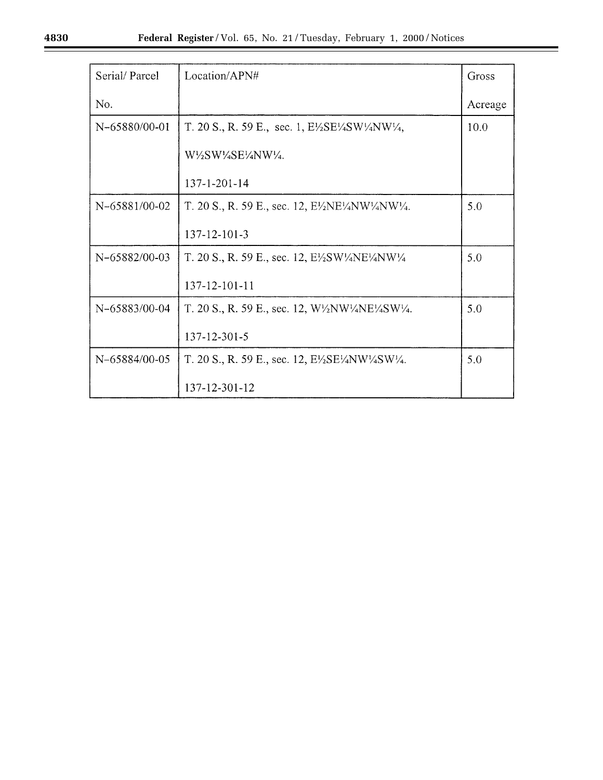| Serial/Parcel | Location/APN#                                                                                                | Gross   |
|---------------|--------------------------------------------------------------------------------------------------------------|---------|
| No.           |                                                                                                              | Acreage |
| N-65880/00-01 | T. 20 S., R. 59 E., sec. 1, $E\frac{\sqrt{E}}{2}E\frac{\sqrt{W}}{4}NW\frac{\sqrt{4}}{4}$ ,                   | 10.0    |
|               | W1/2SW1/4SE1/4NW1/4.                                                                                         |         |
|               | 137-1-201-14                                                                                                 |         |
| N-65881/00-02 | T. 20 S., R. 59 E., sec. 12, $E\frac{\lambda}{2}NE\frac{\lambda}{4}NW\frac{\lambda}{4}NW\frac{\lambda}{4}$ . | 5.0     |
|               | 137-12-101-3                                                                                                 |         |
| N-65882/00-03 | T. 20 S., R. 59 E., sec. 12, $E\frac{\sqrt{2}}{2SW\sqrt{4NE\frac{1}{4}NW\frac{1}{4}}}$                       | 5.0     |
|               | 137-12-101-11                                                                                                |         |
| N-65883/00-04 | T. 20 S., R. 59 E., sec. 12, $W\frac{1}{2}NW\frac{1}{4}NE\frac{1}{4}SW\frac{1}{4}$ .                         | 5.0     |
|               | 137-12-301-5                                                                                                 |         |
| N-65884/00-05 | T. 20 S., R. 59 E., sec. 12, $E\frac{\sqrt{E}}{2}E\frac{\sqrt{W}}{4}SW\frac{\sqrt{4}}{4}$ .                  | 5.0     |
|               | 137-12-301-12                                                                                                |         |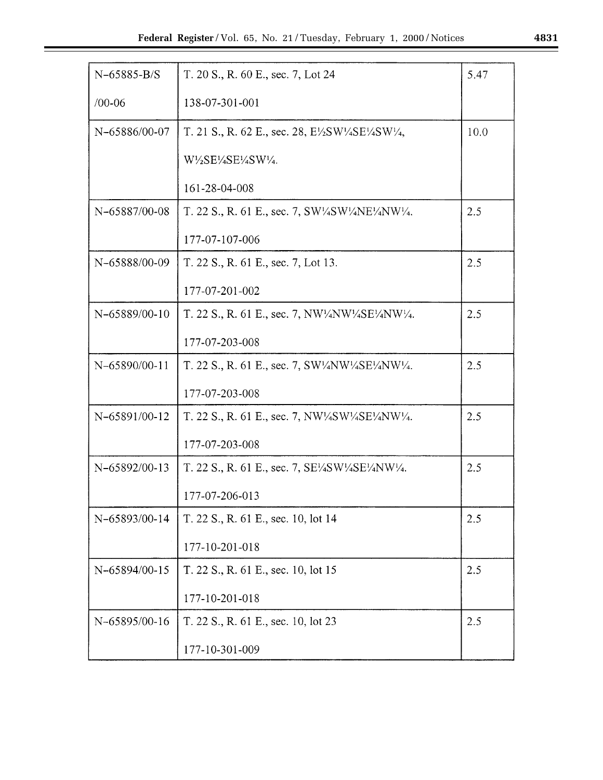| $N-65885-B/S$ | T. 20 S., R. 60 E., sec. 7, Lot 24                                                                                                                        | 5.47 |
|---------------|-----------------------------------------------------------------------------------------------------------------------------------------------------------|------|
| $/00 - 06$    | 138-07-301-001                                                                                                                                            |      |
| N-65886/00-07 | T. 21 S., R. 62 E., sec. 28, $E\frac{\text{1}}{2}SW\frac{\text{1}}{4}SE\frac{\text{1}}{4}SW\frac{\text{1}}{4}$ ,                                          | 10.0 |
|               | W½SE½SE½SW½.                                                                                                                                              |      |
|               | 161-28-04-008                                                                                                                                             |      |
| N-65887/00-08 | T. 22 S., R. 61 E., sec. 7, $SW\frac{1}{4SW}W\frac{1}{4NW\frac{1}{4}N}W\frac{1}{4}$ .                                                                     | 2.5  |
|               | 177-07-107-006                                                                                                                                            |      |
| N-65888/00-09 | T. 22 S., R. 61 E., sec. 7, Lot 13.                                                                                                                       | 2.5  |
|               | 177-07-201-002                                                                                                                                            |      |
| N-65889/00-10 | T. 22 S., R. 61 E., sec. 7, NW <sup>1</sup> / <sub>4</sub> NW <sup>1</sup> / <sub>4</sub> SE <sup>1</sup> / <sub>4</sub> NW <sup>1</sup> / <sub>4</sub> . | 2.5  |
|               | 177-07-203-008                                                                                                                                            |      |
| N-65890/00-11 | T. 22 S., R. 61 E., sec. 7, SW <sup>1</sup> / <sub>4</sub> NW <sup>1</sup> / <sub>4</sub> SE <sup>1</sup> / <sub>4</sub> NW <sup>1</sup> / <sub>4</sub> . | 2.5  |
|               | 177-07-203-008                                                                                                                                            |      |
| N-65891/00-12 | T. 22 S., R. 61 E., sec. 7, $NW\frac{1}{4}SW\frac{1}{4}SE\frac{1}{4}NW\frac{1}{4}$ .                                                                      | 2.5  |
|               | 177-07-203-008                                                                                                                                            |      |
| N-65892/00-13 | T. 22 S., R. 61 E., sec. 7, $SE\frac{\sqrt{4}}{4SW\sqrt{4}}SE\frac{\sqrt{4}}{4NW\sqrt{4}}$ .                                                              | 2.5  |
|               | 177-07-206-013                                                                                                                                            |      |
| N-65893/00-14 | T. 22 S., R. 61 E., sec. 10, lot 14                                                                                                                       | 2.5  |
|               | 177-10-201-018                                                                                                                                            |      |
| N-65894/00-15 | T. 22 S., R. 61 E., sec. 10, lot 15                                                                                                                       | 2.5  |
|               | 177-10-201-018                                                                                                                                            |      |
| N-65895/00-16 | T. 22 S., R. 61 E., sec. 10, lot 23                                                                                                                       | 2.5  |
|               | 177-10-301-009                                                                                                                                            |      |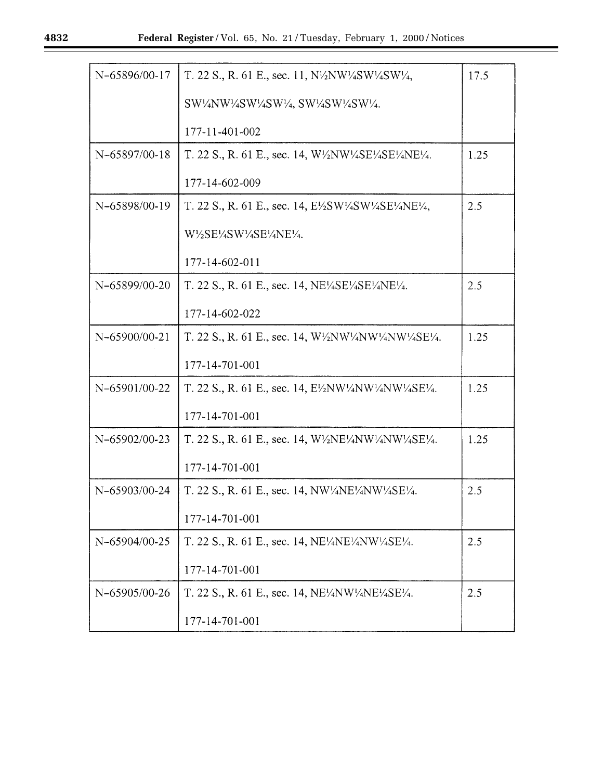| N-65896/00-17 | T. 22 S., R. 61 E., sec. 11, $N\frac{1}{2}NW\frac{1}{4}SW\frac{1}{4}SW\frac{1}{4}$ ,                                                                                                     | 17.5 |
|---------------|------------------------------------------------------------------------------------------------------------------------------------------------------------------------------------------|------|
|               | SW1/4NW1/4SW1/4SW1/4, SW1/4SW1/4SW1/4.                                                                                                                                                   |      |
|               | 177-11-401-002                                                                                                                                                                           |      |
| N-65897/00-18 | T. 22 S., R. 61 E., sec. 14, W1/2NW1/4SE1/4SE1/4NE1/4.                                                                                                                                   | 1.25 |
|               | 177-14-602-009                                                                                                                                                                           |      |
| N-65898/00-19 | T. 22 S., R. 61 E., sec. 14, E <sup>1</sup> / <sub>2</sub> SW <sup>1</sup> / <sub>4</sub> SW <sup>1</sup> / <sub>4</sub> SE <sup>1</sup> / <sub>4</sub> NE <sup>1</sup> / <sub>4</sub> , | 2.5  |
|               | W1/2SE1/4SW1/4SE1/4NE1/4.                                                                                                                                                                |      |
|               | 177-14-602-011                                                                                                                                                                           |      |
| N-65899/00-20 | T. 22 S., R. 61 E., sec. 14, NE <sup>1</sup> / <sub>4</sub> SE <sup>1</sup> / <sub>4</sub> SE <sup>1</sup> / <sub>4</sub> NE <sup>1</sup> / <sub>4</sub> .                               | 2.5  |
|               | 177-14-602-022                                                                                                                                                                           |      |
| N-65900/00-21 | T. 22 S., R. 61 E., sec. 14, W <sup>1</sup> / <sub>2</sub> NW <sup>1</sup> / <sub>4</sub> NW <sup>1</sup> / <sub>4</sub> NW <sup>1</sup> / <sub>4</sub> SE <sup>1</sup> / <sub>4</sub> . | 1.25 |
|               | 177-14-701-001                                                                                                                                                                           |      |
| N-65901/00-22 | T. 22 S., R. 61 E., sec. 14, $E\frac{\lambda}{N}W\frac{\lambda}{N}W\frac{\lambda}{N}W\frac{\lambda}{N}E\frac{\lambda}{N}$ .                                                              | 1.25 |
|               | 177-14-701-001                                                                                                                                                                           |      |
| N-65902/00-23 | T. 22 S., R. 61 E., sec. 14, W $\frac{1}{2}$ NE $\frac{1}{4}$ NW $\frac{1}{4}$ NW $\frac{1}{4}$ SE $\frac{1}{4}$ .                                                                       | 1.25 |
|               | 177-14-701-001                                                                                                                                                                           |      |
| N-65903/00-24 | T. 22 S., R. 61 E., sec. 14, NW1/4NE1/4NW1/4SE1/4.                                                                                                                                       | 2.5  |
|               | 177-14-701-001                                                                                                                                                                           |      |
| N-65904/00-25 | T. 22 S., R. 61 E., sec. 14, NE <sup>1</sup> / <sub>4</sub> NE <sup>1</sup> / <sub>4</sub> NW <sup>1</sup> / <sub>4</sub> SE <sup>1</sup> / <sub>4</sub> .                               | 2.5  |
|               | 177-14-701-001                                                                                                                                                                           |      |
| N-65905/00-26 | T. 22 S., R. 61 E., sec. 14, $NE'/4NW'/4NE'/4SE'/4$ .                                                                                                                                    | 2.5  |
|               | 177-14-701-001                                                                                                                                                                           |      |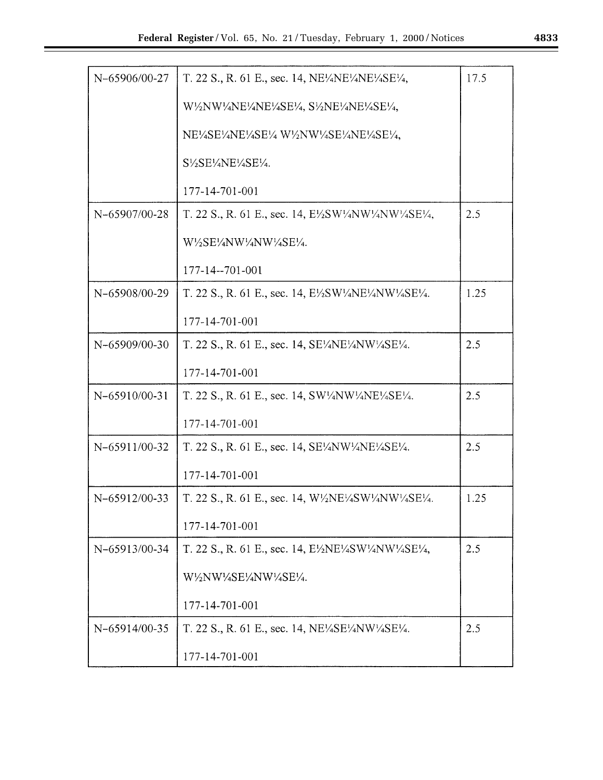| N-65906/00-27 | T. 22 S., R. 61 E., sec. 14, NE <sup>1</sup> / <sub>4</sub> NE <sup>1</sup> / <sub>4</sub> NE <sup>1</sup> / <sub>4</sub> SE <sup>1</sup> / <sub>4</sub> ,                               | 17.5 |
|---------------|------------------------------------------------------------------------------------------------------------------------------------------------------------------------------------------|------|
|               | W <sup>1</sup> /2NW <sup>1</sup> /4NE <sup>1</sup> /4NE <sup>1</sup> /4SE <sup>1</sup> /4, S <sup>1</sup> /2NE <sup>1</sup> /4NE <sup>1</sup> /4SE <sup>1</sup> /4,                      |      |
|               | NE <sup>1</sup> /4SE <sup>1</sup> /4NE <sup>1</sup> /4SE <sup>1</sup> /4W <sup>1</sup> /2NW <sup>1</sup> /4SE <sup>1</sup> /4NE <sup>1</sup> /4SE <sup>1</sup> /4,                       |      |
|               | S1/2SE1/4NE1/4SE1/4.                                                                                                                                                                     |      |
|               | 177-14-701-001                                                                                                                                                                           |      |
| N-65907/00-28 | T. 22 S., R. 61 E., sec. 14, E <sup>1</sup> / <sub>2</sub> SW <sup>1</sup> / <sub>4</sub> NW <sup>1</sup> / <sub>4</sub> NW <sup>1</sup> / <sub>4</sub> SE <sup>1</sup> / <sub>4</sub> , | 2.5  |
|               | W1/2SE1/4NW1/4NW1/4SE1/4.                                                                                                                                                                |      |
|               | 177-14--701-001                                                                                                                                                                          |      |
| N-65908/00-29 | T. 22 S., R. 61 E., sec. 14, $E\frac{\sqrt{2}}{2SW^2}N E\frac{\sqrt{2}}{4NW^2}S E\frac{\sqrt{2}}{4}$ .                                                                                   | 1.25 |
|               | 177-14-701-001                                                                                                                                                                           |      |
| N-65909/00-30 | T. 22 S., R. 61 E., sec. 14, SE1/4NE1/4NW1/4SE1/4.                                                                                                                                       | 2.5  |
|               | 177-14-701-001                                                                                                                                                                           |      |
| N-65910/00-31 | T. 22 S., R. 61 E., sec. 14, $SW\frac{1}{4}NW\frac{1}{4}NE\frac{1}{4}SE\frac{1}{4}$ .                                                                                                    | 2.5  |
|               | 177-14-701-001                                                                                                                                                                           |      |
| N-65911/00-32 | T. 22 S., R. 61 E., sec. 14, SE <sup>1</sup> / <sub>4</sub> NW <sup>1</sup> / <sub>4</sub> NE <sup>1</sup> / <sub>4</sub> SE <sup>1</sup> / <sub>4</sub> .                               | 2.5  |
|               | 177-14-701-001                                                                                                                                                                           |      |
| N-65912/00-33 | T. 22 S., R. 61 E., sec. 14, $W'/2NE'/4SW'/4NW'/4SE'/4.$                                                                                                                                 | 1.25 |
|               | 177-14-701-001                                                                                                                                                                           |      |
| N-65913/00-34 | T. 22 S., R. 61 E., sec. 14, $E\frac{\text{V}}{2}NE\frac{\text{V}}{4}SW\frac{\text{V}}{4}NW\frac{\text{V}}{4}SE\frac{\text{V}}{4}$ ,                                                     | 2.5  |
|               | W½NW½SE¼NW½SE½.                                                                                                                                                                          |      |
|               | 177-14-701-001                                                                                                                                                                           |      |
| N-65914/00-35 | T. 22 S., R. 61 E., sec. 14, NE <sup>1</sup> / <sub>4</sub> SE <sup>1</sup> / <sub>4</sub> NW <sup>1</sup> / <sub>4</sub> SE <sup>1</sup> / <sub>4</sub> .                               | 2.5  |
|               | 177-14-701-001                                                                                                                                                                           |      |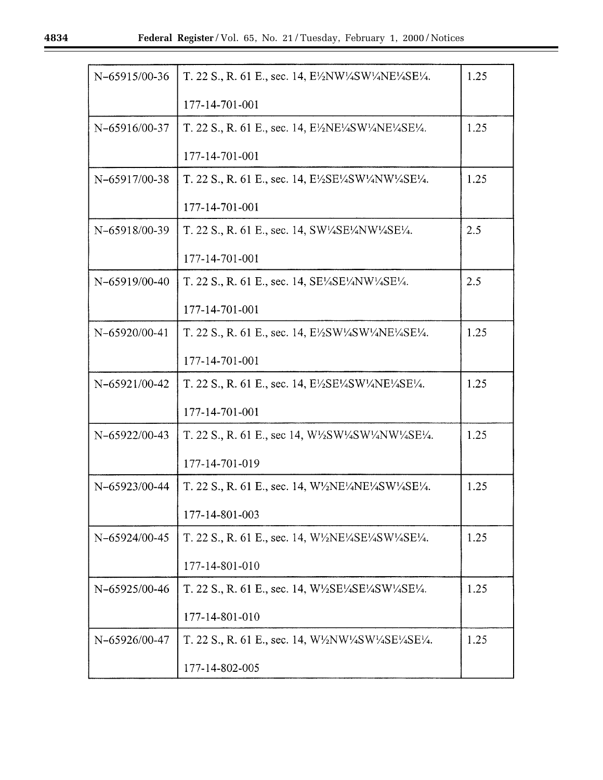| N-65915/00-36 | T. 22 S., R. 61 E., sec. 14, E½NW¼SW¼NE¼SE¼.                                                                                                                                             | 1.25 |
|---------------|------------------------------------------------------------------------------------------------------------------------------------------------------------------------------------------|------|
|               | 177-14-701-001                                                                                                                                                                           |      |
| N-65916/00-37 | T. 22 S., R. 61 E., sec. 14, $E\frac{\lambda}{2}NE\frac{\lambda}{4}SW\frac{\lambda}{4}NE\frac{\lambda}{4}SE\frac{\lambda}{4}$ .                                                          | 1.25 |
|               | 177-14-701-001                                                                                                                                                                           |      |
| N-65917/00-38 | T. 22 S., R. 61 E., sec. 14, E½SE½SW½NW½SE½.                                                                                                                                             | 1.25 |
|               | 177-14-701-001                                                                                                                                                                           |      |
| N-65918/00-39 | T. 22 S., R. 61 E., sec. 14, $SW\frac{1}{4SE}$ / $AW\frac{1}{4SE}$ / $4$ .                                                                                                               | 2.5  |
|               | 177-14-701-001                                                                                                                                                                           |      |
| N-65919/00-40 | T. 22 S., R. 61 E., sec. 14, SE <sup>1</sup> / <sub>4</sub> SE <sup>1</sup> / <sub>4</sub> NW <sup>1</sup> / <sub>4</sub> SE <sup>1</sup> / <sub>4</sub> .                               | 2.5  |
|               | 177-14-701-001                                                                                                                                                                           |      |
| N-65920/00-41 | T. 22 S., R. 61 E., sec. 14, $E\frac{\text{V}}{\text{S}}W\frac{\text{V}}{\text{4}}SW\frac{\text{V}}{\text{4}}NE\frac{\text{V}}{\text{4}}SE\frac{\text{V}}{\text{4}}.$                    | 1.25 |
|               | 177-14-701-001                                                                                                                                                                           |      |
| N-65921/00-42 | T. 22 S., R. 61 E., sec. 14, $E\frac{\text{V}}{2}SE\frac{\text{V}}{4}SW\frac{\text{V}}{4}NE\frac{\text{V}}{4}SE\frac{\text{V}}{4}$ .                                                     | 1.25 |
|               | 177-14-701-001                                                                                                                                                                           |      |
| N-65922/00-43 | T. 22 S., R. 61 E., sec 14, $W\frac{1}{2}SW\frac{1}{4}SW\frac{1}{4}NW\frac{1}{4}SE\frac{1}{4}$ .                                                                                         | 1.25 |
|               | 177-14-701-019                                                                                                                                                                           |      |
| N-65923/00-44 | T. 22 S., R. 61 E., sec. 14, W <sup>1</sup> / <sub>2</sub> NE <sup>1</sup> / <sub>4</sub> NE <sup>1</sup> / <sub>4</sub> SW <sup>1</sup> / <sub>4</sub> SE <sup>1</sup> / <sub>4</sub> . | 1.25 |
|               | 177-14-801-003                                                                                                                                                                           |      |
| N-65924/00-45 | T. 22 S., R. 61 E., sec. 14, W1/2NE1/4SE1/4SW1/4SE1/4.                                                                                                                                   | 1.25 |
|               | 177-14-801-010                                                                                                                                                                           |      |
| N-65925/00-46 | T. 22 S., R. 61 E., sec. 14, $W\text{/}S\text{E}\text{/}4\text{SE}\text{/}4\text{SW}\text{/}4\text{SE}\text{/}4.$                                                                        | 1.25 |
|               | 177-14-801-010                                                                                                                                                                           |      |
| N-65926/00-47 | T. 22 S., R. 61 E., sec. 14, $W\frac{1}{2}NW\frac{1}{4}SW\frac{1}{4}SE\frac{1}{4}SE\frac{1}{4}$ .                                                                                        | 1.25 |
|               | 177-14-802-005                                                                                                                                                                           |      |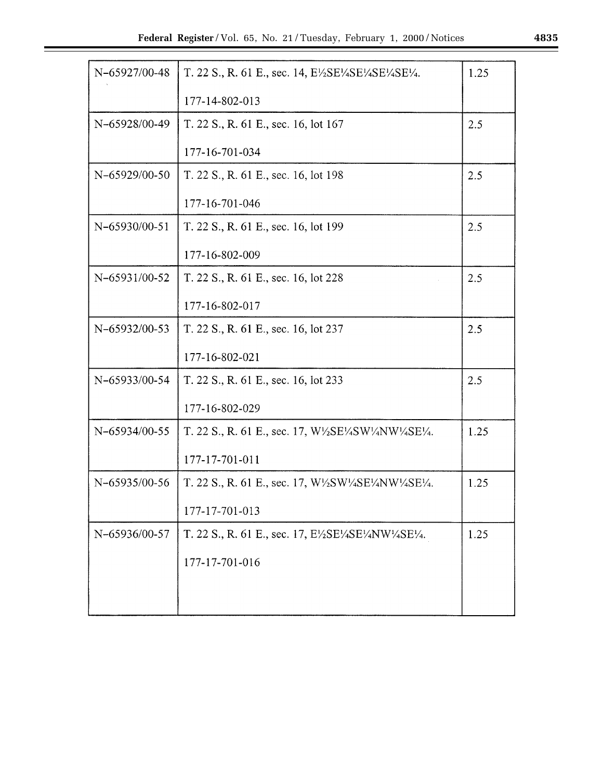| N-65927/00-48 | T. 22 S., R. 61 E., sec. 14, E <sup>1</sup> / <sub>2</sub> SE <sup>1</sup> / <sub>4</sub> SE <sup>1</sup> / <sub>4</sub> SE <sup>1</sup> / <sub>4</sub> SE <sup>1</sup> / <sub>4</sub> . | 1.25 |
|---------------|------------------------------------------------------------------------------------------------------------------------------------------------------------------------------------------|------|
|               | 177-14-802-013                                                                                                                                                                           |      |
| N-65928/00-49 | T. 22 S., R. 61 E., sec. 16, lot 167                                                                                                                                                     | 2.5  |
|               | 177-16-701-034                                                                                                                                                                           |      |
| N-65929/00-50 | T. 22 S., R. 61 E., sec. 16, lot 198                                                                                                                                                     | 2.5  |
|               | 177-16-701-046                                                                                                                                                                           |      |
| N-65930/00-51 | T. 22 S., R. 61 E., sec. 16, lot 199                                                                                                                                                     | 2.5  |
|               | 177-16-802-009                                                                                                                                                                           |      |
| N-65931/00-52 | T. 22 S., R. 61 E., sec. 16, lot 228                                                                                                                                                     | 2.5  |
|               | 177-16-802-017                                                                                                                                                                           |      |
| N-65932/00-53 | T. 22 S., R. 61 E., sec. 16, lot 237                                                                                                                                                     | 2.5  |
|               | 177-16-802-021                                                                                                                                                                           |      |
| N-65933/00-54 | T. 22 S., R. 61 E., sec. 16, lot 233                                                                                                                                                     | 2.5  |
|               | 177-16-802-029                                                                                                                                                                           |      |
| N-65934/00-55 | T. 22 S., R. 61 E., sec. 17, $W\frac{\sqrt{S}}{S}E\frac{\sqrt{4}}{4}SW\frac{\sqrt{4}}{4}W\frac{\sqrt{2}}{4}E\frac{\sqrt{4}}{4}$ .                                                        | 1.25 |
|               | 177-17-701-011                                                                                                                                                                           |      |
| N-65935/00-56 | T. 22 S., R. 61 E., sec. 17, $W\frac{1}{2}SW\frac{1}{4}SE\frac{1}{4}NW\frac{1}{4}SE\frac{1}{4}$ .                                                                                        | 1.25 |
|               | 177-17-701-013                                                                                                                                                                           |      |
| N-65936/00-57 | T. 22 S., R. 61 E., sec. 17, E $\frac{1}{2}SE\frac{1}{4}SE\frac{1}{4}NW\frac{1}{4}SE\frac{1}{4}$ .                                                                                       | 1.25 |
|               | 177-17-701-016                                                                                                                                                                           |      |
|               |                                                                                                                                                                                          |      |
|               |                                                                                                                                                                                          |      |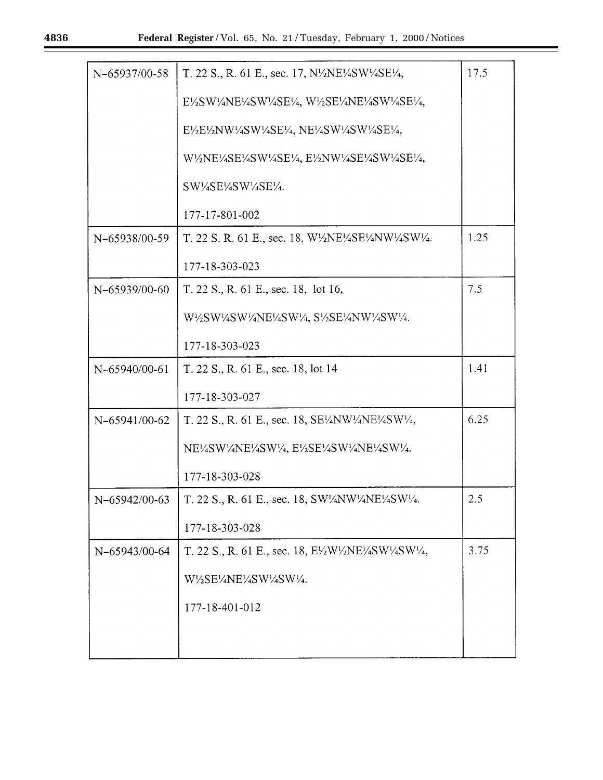| N-65937/00-58   | T. 22 S., R. 61 E., sec. 17, N½NE½SW½SE½,                                                                                                                                                                                                                                                | 17.5 |
|-----------------|------------------------------------------------------------------------------------------------------------------------------------------------------------------------------------------------------------------------------------------------------------------------------------------|------|
|                 | $E\frac{1}{2}SW\frac{1}{4}NE\frac{1}{4}SW\frac{1}{4}SE\frac{1}{4}$ , W $\frac{1}{2}SE\frac{1}{4}NE\frac{1}{4}SW\frac{1}{4}SE\frac{1}{4}$ ,                                                                                                                                               |      |
|                 | E½E½NW½SW½SE½, NE½SW½SW½SE½,                                                                                                                                                                                                                                                             |      |
|                 | W <sup>1</sup> /2NE <sup>1</sup> /4SE <sup>1</sup> /4SW <sup>1</sup> /4SE <sup>1</sup> /4, E <sup>1</sup> /2NW <sup>1</sup> /4SE <sup>1</sup> /4SW <sup>1</sup> /4SE <sup>1</sup> /4,                                                                                                    |      |
|                 | SW1/4SE1/4SW1/4SE1/4.                                                                                                                                                                                                                                                                    |      |
|                 | 177-17-801-002                                                                                                                                                                                                                                                                           |      |
| N-65938/00-59   | T. 22 S. R. 61 E., sec. 18, W½NE½SE½NW½SW½.                                                                                                                                                                                                                                              | 1.25 |
|                 | 177-18-303-023                                                                                                                                                                                                                                                                           |      |
| N-65939/00-60   | T. 22 S., R. 61 E., sec. 18, lot 16,                                                                                                                                                                                                                                                     | 7.5  |
|                 | W <sup>1</sup> / <sub>2</sub> SW <sup>1</sup> / <sub>4</sub> SW <sup>1</sup> / <sub>4</sub> NE <sup>1</sup> / <sub>4</sub> SW <sup>1</sup> / <sub>4</sub> , S <sup>1</sup> / <sub>2</sub> SE <sup>1</sup> / <sub>4</sub> NW <sup>1</sup> / <sub>4</sub> SW <sup>1</sup> / <sub>4</sub> . |      |
|                 | 177-18-303-023                                                                                                                                                                                                                                                                           |      |
| N-65940/00-61   | T. 22 S., R. 61 E., sec. 18, lot 14                                                                                                                                                                                                                                                      | 1.41 |
|                 | 177-18-303-027                                                                                                                                                                                                                                                                           |      |
| N-65941/00-62   | T. 22 S., R. 61 E., sec. 18, SE¼NW¼NE¼SW¼,                                                                                                                                                                                                                                               | 6.25 |
|                 | NE1/4SW1/4NE1/4SW1/4, E1/2SE1/4SW1/4NE1/4SW1/4.                                                                                                                                                                                                                                          |      |
|                 | 177-18-303-028                                                                                                                                                                                                                                                                           |      |
| $N-65942/00-63$ | T. 22 S., R. 61 E., sec. 18, SW <sup>1</sup> / <sub>4</sub> NW <sup>1</sup> / <sub>4</sub> NE <sup>1</sup> / <sub>4</sub> SW <sup>1</sup> / <sub>4</sub> .                                                                                                                               | 2.5  |
|                 | 177-18-303-028                                                                                                                                                                                                                                                                           |      |
| N-65943/00-64   | T. 22 S., R. 61 E., sec. 18, E½W½NE½SW½SW¼,                                                                                                                                                                                                                                              | 3.75 |
|                 | W1/2SE1/4NE1/4SW1/4SW1/4.                                                                                                                                                                                                                                                                |      |
|                 | 177-18-401-012                                                                                                                                                                                                                                                                           |      |
|                 |                                                                                                                                                                                                                                                                                          |      |
|                 |                                                                                                                                                                                                                                                                                          |      |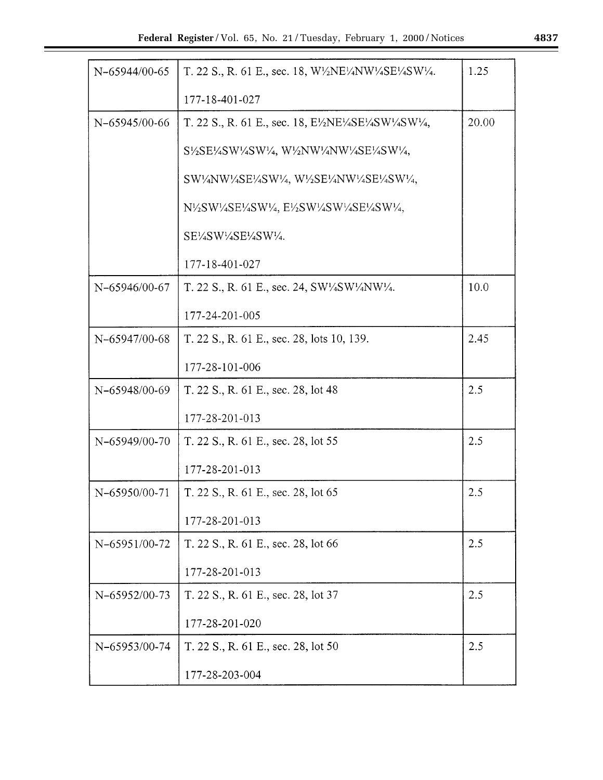| N-65944/00-65 | T. 22 S., R. 61 E., sec. 18, $W'/2NE'/4NW'/4SE'/4SW'/4.$                                                                                                                                                                                                                                 | 1.25  |
|---------------|------------------------------------------------------------------------------------------------------------------------------------------------------------------------------------------------------------------------------------------------------------------------------------------|-------|
|               | 177-18-401-027                                                                                                                                                                                                                                                                           |       |
| N-65945/00-66 | T. 22 S., R. 61 E., sec. 18, $E\frac{\text{W}}{\text{N}}E\frac{\text{W}}{\text{N}}E\frac{\text{W}}{\text{N}}SW\frac{\text{W}}{\text{N}}$                                                                                                                                                 | 20.00 |
|               | S <sup>1</sup> / <sub>2</sub> SE <sup>1</sup> / <sub>4</sub> SW <sup>1</sup> / <sub>4</sub> SW <sup>1</sup> / <sub>4</sub> , W <sup>1</sup> / <sub>2</sub> NW <sup>1</sup> / <sub>4</sub> NW <sup>1</sup> / <sub>4</sub> SE <sup>1</sup> / <sub>4</sub> SW <sup>1</sup> / <sub>4</sub> , |       |
|               | SW1/4NW1/4SE1/4SW1/4, W1/2SE1/4NW1/4SE1/4SW1/4,                                                                                                                                                                                                                                          |       |
|               | N½SW½SE½SW½, E½SW½SW½SE½SW½,                                                                                                                                                                                                                                                             |       |
|               | SE½SW½SE½SW½.                                                                                                                                                                                                                                                                            |       |
|               | 177-18-401-027                                                                                                                                                                                                                                                                           |       |
| N-65946/00-67 | T. 22 S., R. 61 E., sec. 24, SW1/4SW1/4NW1/4.                                                                                                                                                                                                                                            | 10.0  |
|               | 177-24-201-005                                                                                                                                                                                                                                                                           |       |
| N-65947/00-68 | T. 22 S., R. 61 E., sec. 28, lots 10, 139.                                                                                                                                                                                                                                               | 2.45  |
|               | 177-28-101-006                                                                                                                                                                                                                                                                           |       |
| N-65948/00-69 | T. 22 S., R. 61 E., sec. 28, lot 48                                                                                                                                                                                                                                                      | 2.5   |
|               | 177-28-201-013                                                                                                                                                                                                                                                                           |       |
| N-65949/00-70 | T. 22 S., R. 61 E., sec. 28, lot 55                                                                                                                                                                                                                                                      | 2.5   |
|               | 177-28-201-013                                                                                                                                                                                                                                                                           |       |
| N-65950/00-71 | T. 22 S., R. 61 E., sec. 28, lot 65                                                                                                                                                                                                                                                      | 2.5   |
|               | 177-28-201-013                                                                                                                                                                                                                                                                           |       |
| N-65951/00-72 | T. 22 S., R. 61 E., sec. 28, lot 66                                                                                                                                                                                                                                                      | 2.5   |
|               | 177-28-201-013                                                                                                                                                                                                                                                                           |       |
| N-65952/00-73 | T. 22 S., R. 61 E., sec. 28, lot 37                                                                                                                                                                                                                                                      | 2.5   |
|               | 177-28-201-020                                                                                                                                                                                                                                                                           |       |
| N-65953/00-74 | T. 22 S., R. 61 E., sec. 28, lot 50                                                                                                                                                                                                                                                      | 2.5   |
|               | 177-28-203-004                                                                                                                                                                                                                                                                           |       |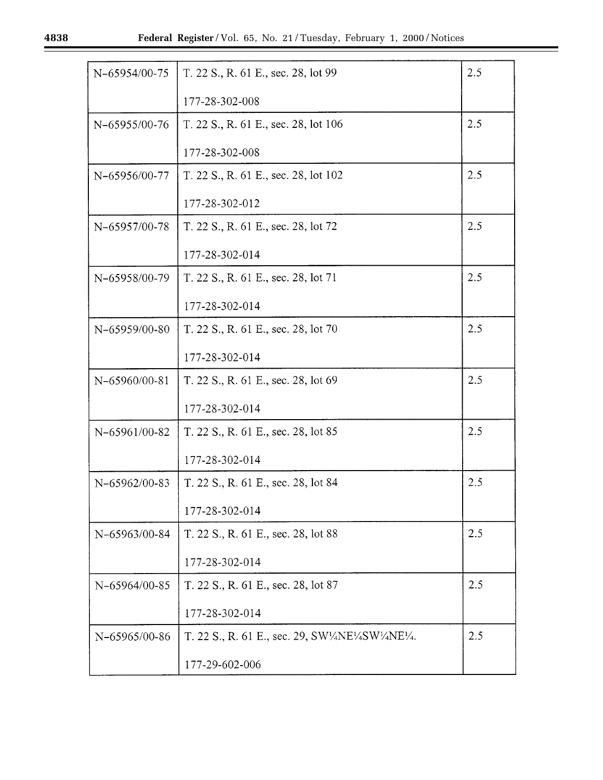| N-65954/00-75 | T. 22 S., R. 61 E., sec. 28, lot 99                                                                                                                        | 2.5 |
|---------------|------------------------------------------------------------------------------------------------------------------------------------------------------------|-----|
|               | 177-28-302-008                                                                                                                                             |     |
| N-65955/00-76 | T. 22 S., R. 61 E., sec. 28, lot 106                                                                                                                       | 2.5 |
|               | 177-28-302-008                                                                                                                                             |     |
| N-65956/00-77 | T. 22 S., R. 61 E., sec. 28, lot 102                                                                                                                       | 2.5 |
|               | 177-28-302-012                                                                                                                                             |     |
| N-65957/00-78 | T. 22 S., R. 61 E., sec. 28, lot 72                                                                                                                        | 2.5 |
|               | 177-28-302-014                                                                                                                                             |     |
| N-65958/00-79 | T. 22 S., R. 61 E., sec. 28, lot 71                                                                                                                        | 2.5 |
|               | 177-28-302-014                                                                                                                                             |     |
| N-65959/00-80 | T. 22 S., R. 61 E., sec. 28, lot 70                                                                                                                        | 2.5 |
|               | 177-28-302-014                                                                                                                                             |     |
| N-65960/00-81 | T. 22 S., R. 61 E., sec. 28, lot 69                                                                                                                        | 2.5 |
|               | 177-28-302-014                                                                                                                                             |     |
| N-65961/00-82 | T. 22 S., R. 61 E., sec. 28, lot 85                                                                                                                        | 2.5 |
|               | 177-28-302-014                                                                                                                                             |     |
| N-65962/00-83 | T. 22 S., R. 61 E., sec. 28, lot 84                                                                                                                        | 2.5 |
|               | 177-28-302-014                                                                                                                                             |     |
| N-65963/00-84 | T. 22 S., R. 61 E., sec. 28, lot 88                                                                                                                        | 2.5 |
|               | 177-28-302-014                                                                                                                                             |     |
| N-65964/00-85 | T. 22 S., R. 61 E., sec. 28, lot 87                                                                                                                        | 2.5 |
|               | 177-28-302-014                                                                                                                                             |     |
| N-65965/00-86 | T. 22 S., R. 61 E., sec. 29, SW <sup>1</sup> / <sub>4</sub> NE <sup>1</sup> / <sub>4</sub> SW <sup>1</sup> / <sub>4</sub> NE <sup>1</sup> / <sub>4</sub> . | 2.5 |
|               | 177-29-602-006                                                                                                                                             |     |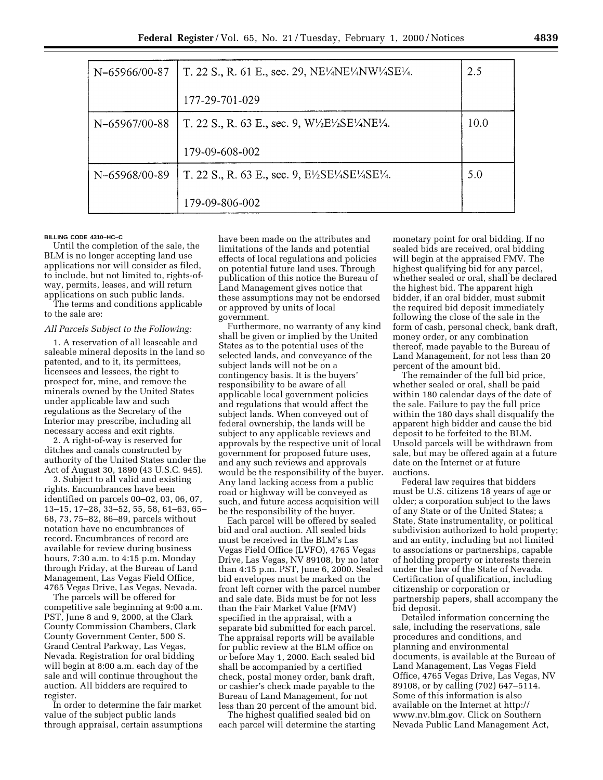| N-65966/00-87 | T. 22 S., R. 61 E., sec. 29, NE <sup>1</sup> / <sub>4</sub> NE <sup>1</sup> / <sub>4</sub> NW <sup>1</sup> / <sub>4</sub> SE <sup>1</sup> / <sub>4</sub> . | 2.5  |
|---------------|------------------------------------------------------------------------------------------------------------------------------------------------------------|------|
|               | 177-29-701-029                                                                                                                                             |      |
| N-65967/00-88 | T. 22 S., R. 63 E., sec. 9, $W\text{/}E\text{/}SE\text{/}ANE\text{/}4.$                                                                                    | 10.0 |
|               | 179-09-608-002                                                                                                                                             |      |
| N-65968/00-89 | T. 22 S., R. 63 E., sec. 9, $E\frac{\text{1}}{2}SE\frac{\text{1}}{4}SE\frac{\text{1}}{4}SE\frac{\text{1}}{4}$ .                                            | 5.0  |
|               | 179-09-806-002                                                                                                                                             |      |

## **BILLING CODE 4310–HC–C**

Until the completion of the sale, the BLM is no longer accepting land use applications nor will consider as filed, to include, but not limited to, rights-ofway, permits, leases, and will return applications on such public lands.

The terms and conditions applicable to the sale are:

#### *All Parcels Subject to the Following:*

1. A reservation of all leaseable and saleable mineral deposits in the land so patented, and to it, its permittees, licensees and lessees, the right to prospect for, mine, and remove the minerals owned by the United States under applicable law and such regulations as the Secretary of the Interior may prescribe, including all necessary access and exit rights.

2. A right-of-way is reserved for ditches and canals constructed by authority of the United States under the Act of August 30, 1890 (43 U.S.C. 945).

3. Subject to all valid and existing rights. Encumbrances have been identified on parcels 00–02, 03, 06, 07, 13–15, 17–28, 33–52, 55, 58, 61–63, 65– 68, 73, 75–82, 86–89, parcels without notation have no encumbrances of record. Encumbrances of record are available for review during business hours, 7:30 a.m. to 4:15 p.m. Monday through Friday, at the Bureau of Land Management, Las Vegas Field Office, 4765 Vegas Drive, Las Vegas, Nevada.

The parcels will be offered for competitive sale beginning at 9:00 a.m. PST, June 8 and 9, 2000, at the Clark County Commission Chambers, Clark County Government Center, 500 S. Grand Central Parkway, Las Vegas, Nevada. Registration for oral bidding will begin at 8:00 a.m. each day of the sale and will continue throughout the auction. All bidders are required to register.

In order to determine the fair market value of the subject public lands through appraisal, certain assumptions

have been made on the attributes and limitations of the lands and potential effects of local regulations and policies on potential future land uses. Through publication of this notice the Bureau of Land Management gives notice that these assumptions may not be endorsed or approved by units of local government.

Furthermore, no warranty of any kind shall be given or implied by the United States as to the potential uses of the selected lands, and conveyance of the subject lands will not be on a contingency basis. It is the buyers' responsibility to be aware of all applicable local government policies and regulations that would affect the subject lands. When conveyed out of federal ownership, the lands will be subject to any applicable reviews and approvals by the respective unit of local government for proposed future uses, and any such reviews and approvals would be the responsibility of the buyer. Any land lacking access from a public road or highway will be conveyed as such, and future access acquisition will be the responsibility of the buyer.

Each parcel will be offered by sealed bid and oral auction. All sealed bids must be received in the BLM's Las Vegas Field Office (LVFO), 4765 Vegas Drive, Las Vegas, NV 89108, by no later than 4:15 p.m. PST, June 6, 2000. Sealed bid envelopes must be marked on the front left corner with the parcel number and sale date. Bids must be for not less than the Fair Market Value (FMV) specified in the appraisal, with a separate bid submitted for each parcel. The appraisal reports will be available for public review at the BLM office on or before May 1, 2000. Each sealed bid shall be accompanied by a certified check, postal money order, bank draft, or cashier's check made payable to the Bureau of Land Management, for not less than 20 percent of the amount bid.

The highest qualified sealed bid on each parcel will determine the starting

monetary point for oral bidding. If no sealed bids are received, oral bidding will begin at the appraised FMV. The highest qualifying bid for any parcel, whether sealed or oral, shall be declared the highest bid. The apparent high bidder, if an oral bidder, must submit the required bid deposit immediately following the close of the sale in the form of cash, personal check, bank draft, money order, or any combination thereof, made payable to the Bureau of Land Management, for not less than 20 percent of the amount bid.

The remainder of the full bid price, whether sealed or oral, shall be paid within 180 calendar days of the date of the sale. Failure to pay the full price within the 180 days shall disqualify the apparent high bidder and cause the bid deposit to be forfeited to the BLM. Unsold parcels will be withdrawn from sale, but may be offered again at a future date on the Internet or at future auctions.

Federal law requires that bidders must be U.S. citizens 18 years of age or older; a corporation subject to the laws of any State or of the United States; a State, State instrumentality, or political subdivision authorized to hold property; and an entity, including but not limited to associations or partnerships, capable of holding property or interests therein under the law of the State of Nevada. Certification of qualification, including citizenship or corporation or partnership papers, shall accompany the bid deposit.

Detailed information concerning the sale, including the reservations, sale procedures and conditions, and planning and environmental documents, is available at the Bureau of Land Management, Las Vegas Field Office, 4765 Vegas Drive, Las Vegas, NV 89108, or by calling (702) 647–5114. Some of this information is also available on the Internet at http:// www.nv.blm.gov. Click on Southern Nevada Public Land Management Act,